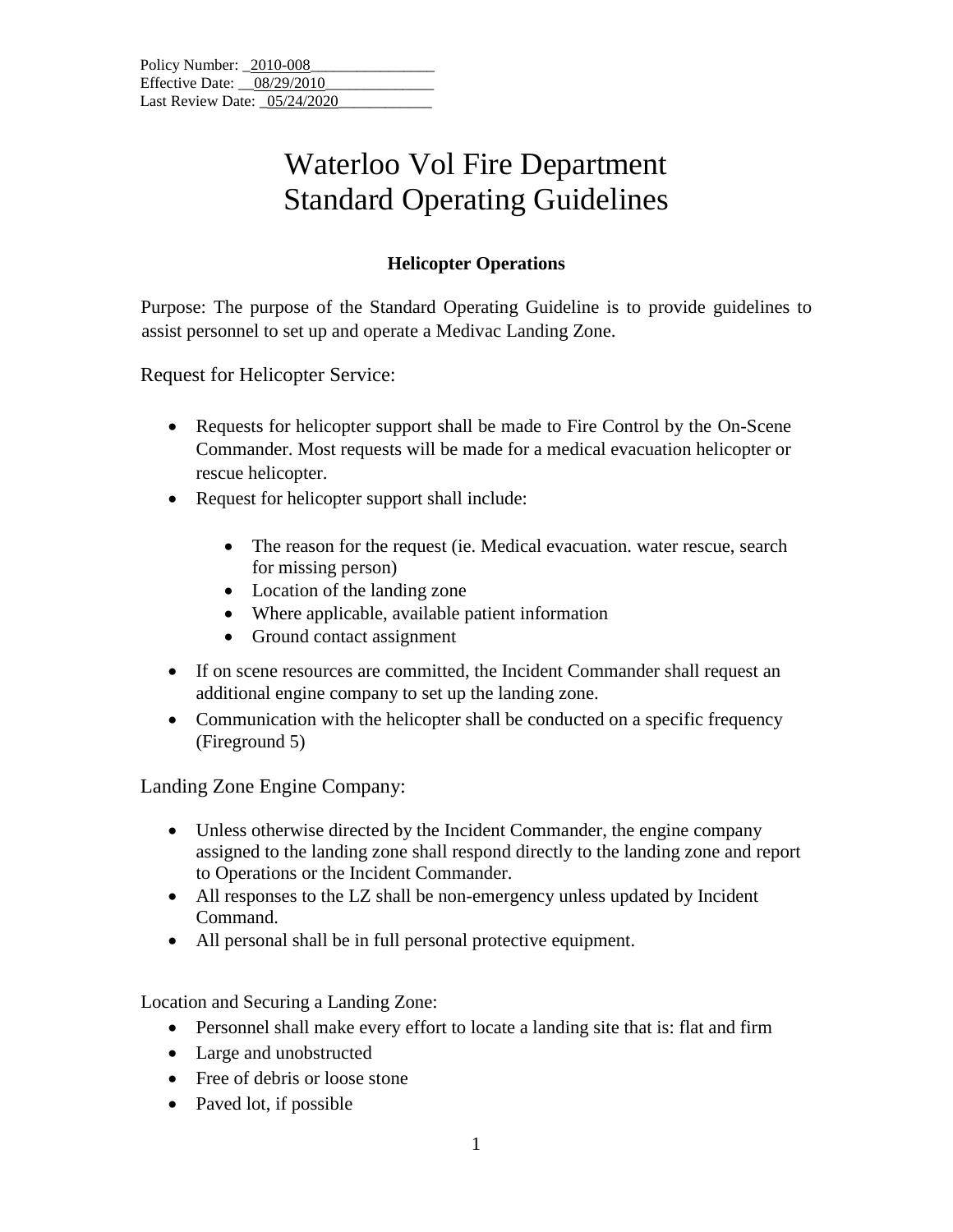## Waterloo Vol Fire Department Standard Operating Guidelines

## **Helicopter Operations**

Purpose: The purpose of the Standard Operating Guideline is to provide guidelines to assist personnel to set up and operate a Medivac Landing Zone.

Request for Helicopter Service:

- Requests for helicopter support shall be made to Fire Control by the On-Scene Commander. Most requests will be made for a medical evacuation helicopter or rescue helicopter.
- Request for helicopter support shall include:
	- The reason for the request (ie. Medical evacuation. water rescue, search for missing person)
	- Location of the landing zone
	- Where applicable, available patient information
	- Ground contact assignment
- If on scene resources are committed, the Incident Commander shall request an additional engine company to set up the landing zone.
- Communication with the helicopter shall be conducted on a specific frequency (Fireground 5)

Landing Zone Engine Company:

- Unless otherwise directed by the Incident Commander, the engine company assigned to the landing zone shall respond directly to the landing zone and report to Operations or the Incident Commander.
- All responses to the LZ shall be non-emergency unless updated by Incident Command.
- All personal shall be in full personal protective equipment.

Location and Securing a Landing Zone:

- Personnel shall make every effort to locate a landing site that is: flat and firm
- Large and unobstructed
- Free of debris or loose stone
- Paved lot, if possible